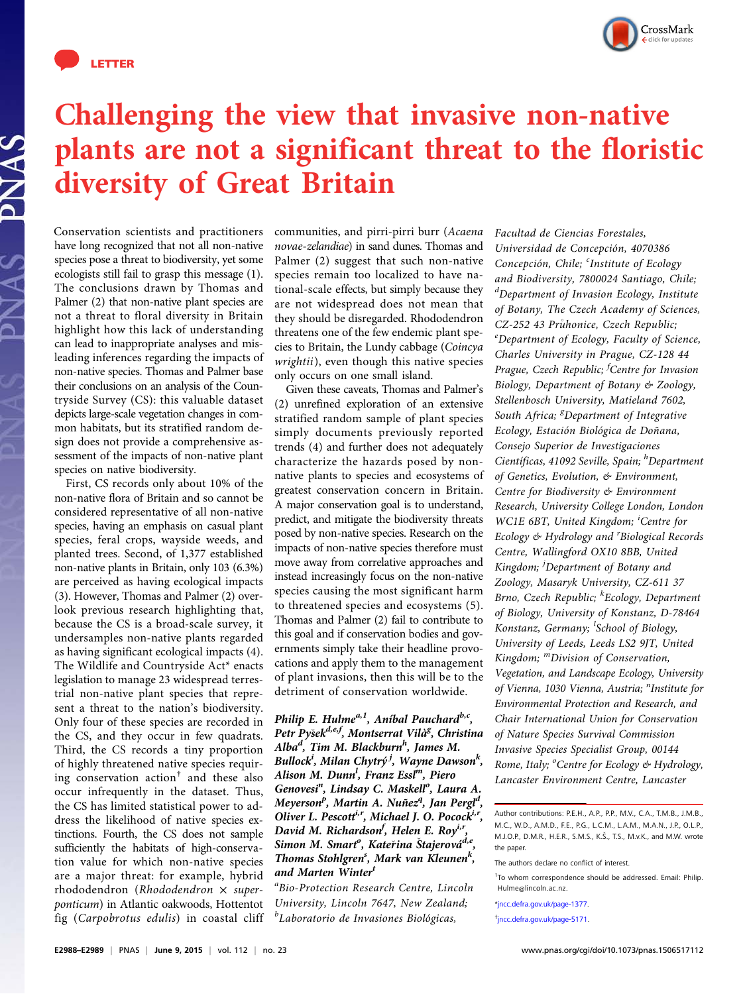

PNAS



## Challenging the view that invasive non-native plants are not a significant threat to the floristic diversity of Great Britain

Conservation scientists and practitioners have long recognized that not all non-native species pose a threat to biodiversity, yet some ecologists still fail to grasp this message (1). The conclusions drawn by Thomas and Palmer (2) that non-native plant species are not a threat to floral diversity in Britain highlight how this lack of understanding can lead to inappropriate analyses and misleading inferences regarding the impacts of non-native species. Thomas and Palmer base their conclusions on an analysis of the Countryside Survey (CS): this valuable dataset depicts large-scale vegetation changes in common habitats, but its stratified random design does not provide a comprehensive assessment of the impacts of non-native plant species on native biodiversity.

First, CS records only about 10% of the non-native flora of Britain and so cannot be considered representative of all non-native species, having an emphasis on casual plant species, feral crops, wayside weeds, and planted trees. Second, of 1,377 established non-native plants in Britain, only 103 (6.3%) are perceived as having ecological impacts (3). However, Thomas and Palmer (2) overlook previous research highlighting that, because the CS is a broad-scale survey, it undersamples non-native plants regarded as having significant ecological impacts (4). The Wildlife and Countryside Act\* enacts legislation to manage 23 widespread terrestrial non-native plant species that represent a threat to the nation's biodiversity. Only four of these species are recorded in the CS, and they occur in few quadrats. Third, the CS records a tiny proportion of highly threatened native species requiring conservation action† and these also occur infrequently in the dataset. Thus, the CS has limited statistical power to address the likelihood of native species extinctions. Fourth, the CS does not sample sufficiently the habitats of high-conservation value for which non-native species are a major threat: for example, hybrid rhododendron (Rhododendron × superponticum) in Atlantic oakwoods, Hottentot fig (Carpobrotus edulis) in coastal cliff communities, and pirri-pirri burr (Acaena novae-zelandiae) in sand dunes. Thomas and Palmer (2) suggest that such non-native species remain too localized to have national-scale effects, but simply because they are not widespread does not mean that they should be disregarded. Rhododendron threatens one of the few endemic plant species to Britain, the Lundy cabbage (Coincya wrightii), even though this native species only occurs on one small island.

Given these caveats, Thomas and Palmer's (2) unrefined exploration of an extensive stratified random sample of plant species simply documents previously reported trends (4) and further does not adequately characterize the hazards posed by nonnative plants to species and ecosystems of greatest conservation concern in Britain. A major conservation goal is to understand, predict, and mitigate the biodiversity threats posed by non-native species. Research on the impacts of non-native species therefore must move away from correlative approaches and instead increasingly focus on the non-native species causing the most significant harm to threatened species and ecosystems (5). Thomas and Palmer (2) fail to contribute to this goal and if conservation bodies and governments simply take their headline provocations and apply them to the management of plant invasions, then this will be to the detriment of conservation worldwide.

Philip E. Hulme<sup>a,1</sup>, Aníbal Pauchard<sup>b,c</sup>, Petr Pyšek<sup>d,e,f</sup>, Montserrat Vilà<sup>g</sup>, Christina Alba<sup>d</sup>, Tim M. Blackburn<sup>h</sup>, James M. Bullock<sup>i</sup>, Milan Chytrý <sup>j</sup>, Wayne Dawson<sup>k</sup>, Alison M. Dunn<sup>l</sup>, Franz Essl<sup>m</sup>, Piero Genovesi<sup>n</sup>, Lindsay C. Maskell<sup>o</sup>, Laura A. Meyerson<sup>p</sup>, Martin A. Nuñez<sup>q</sup>, Jan Pergl<sup>d</sup>, Oliver L. Pescott<sup>i,r</sup>, Michael J. O. Pocock<sup>i,</sup> David M. Richardson<sup>f</sup>, Helen E. Roy<sup>i,r</sup>, Simon M. Smart<sup>o</sup>, Kateřina Štajerová<sup>d,e</sup>, Thomas Stohlgren<sup>s</sup>, Mark van Kleunen<sup>k</sup>, and Marten Winter<sup>t</sup>

a Bio-Protection Research Centre, Lincoln University, Lincoln 7647, New Zealand; <sup>b</sup>Laboratorio de Invasiones Biológicas,

Facultad de Ciencias Forestales, Universidad de Concepción, 4070386 Concepción, Chile; <sup>c</sup>Institute of Ecology and Biodiversity, 7800024 Santiago, Chile; d Department of Invasion Ecology, Institute of Botany, The Czech Academy of Sciences, CZ-252 43 Průhonice, Czech Republic; <sup>e</sup>Department of Ecology, Faculty of Science, Charles University in Prague, CZ-128 44 Prague, Czech Republic; <sup>f</sup>Centre for Invasion Biology, Department of Botany & Zoology, Stellenbosch University, Matieland 7602, South Africa; <sup>g</sup>Department of Integrative Ecology, Estación Biológica de Doñana, Consejo Superior de Investigaciones Científicas, 41092 Seville, Spain; <sup>h</sup>Department of Genetics, Evolution, & Environment, Centre for Biodiversity & Environment Research, University College London, London WC1E 6BT, United Kingdom; <sup>i</sup>Centre for Ecology & Hydrology and <sup>r</sup>Biological Records Centre, Wallingford OX10 8BB, United Kingdom; <sup>j</sup>Department of Botany and Zoology, Masaryk University, CZ-611 37 Brno, Czech Republic; <sup>k</sup>Ecology, Department of Biology, University of Konstanz, D-78464 Konstanz, Germany; <sup>1</sup>School of Biology, University of Leeds, Leeds LS2 9JT, United Kingdom; <sup>m</sup>Division of Conservation, Vegetation, and Landscape Ecology, University of Vienna, 1030 Vienna, Austria; "Institute for Environmental Protection and Research, and Chair International Union for Conservation of Nature Species Survival Commission Invasive Species Specialist Group, 00144 Rome, Italy; <sup>o</sup>Centre for Ecology & Hydrology, Lancaster Environment Centre, Lancaster

\*[jncc.defra.gov.uk/page-1377](http://jncc.defra.gov.uk/page-1377).

† [jncc.defra.gov.uk/page-5171.](http://jncc.defra.gov.uk/page-5171)

Author contributions: P.E.H., A.P., P.P., M.V., C.A., T.M.B., J.M.B., M.C., W.D., A.M.D., F.E., P.G., L.C.M., L.A.M., M.A.N., J.P., O.L.P., M.J.O.P., D.M.R., H.E.R., S.M.S., K.S., T.S., M.v.K., and M.W. wrote the paper.

The authors declare no conflict of interest.

<sup>&</sup>lt;sup>1</sup>To whom correspondence should be addressed. Email: [Philip.](mailto:Philip.Hulme@lincoln.ac.nz) [Hulme@lincoln.ac.nz.](mailto:Philip.Hulme@lincoln.ac.nz)